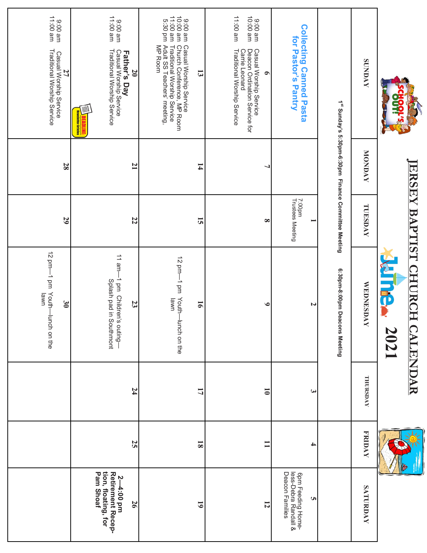|                                                                                                                                                                                             | ERSEY                                                            | BAI                        | PTIST CHU<br><b>NINE</b><br><b>RCH CALENDAR</b><br><b>2021</b>        |                          |                         |                                                                              |
|---------------------------------------------------------------------------------------------------------------------------------------------------------------------------------------------|------------------------------------------------------------------|----------------------------|-----------------------------------------------------------------------|--------------------------|-------------------------|------------------------------------------------------------------------------|
| <b>SUNDAY</b>                                                                                                                                                                               | MONDAY                                                           | TUESDAY                    | <b>WEDNESDAY</b>                                                      | THURSDAY                 | <b>FRIDAY</b>           | SATURDAY                                                                     |
|                                                                                                                                                                                             | 1 <sup>st</sup> Sunday's 5:30pm-6:30pm Finance Committee Meeting |                            | 6:30pm-8:00pm Deacons Meeting                                         |                          |                         |                                                                              |
| <b>Collecting Canned Pasta</b><br>for Pastor's Pantry                                                                                                                                       |                                                                  | 7:00pm<br>Trustees Meeting | N                                                                     | $\bm{\omega}$            | 4                       | less-Debra Randall &<br>Deacon Families<br>6pm Feeding Home-<br><b>UI</b>    |
| 11:00 am<br>ms 00:01<br>9:00 am<br>Casual Worship Service<br>Deacon Ordination Service for<br>Traditional Worship Service<br><b>Carrie Leonard</b><br>$\bullet$                             |                                                                  | $\infty$                   | $\bullet$                                                             | $\overline{\phantom{0}}$ | $\Xi$                   | $\overline{5}$                                                               |
| ms 00:11<br>9:00 am<br>10:00 am<br>5:30 pm<br>Adult SS Teachers' meeting,<br>Casual Worship Service<br>Church Conference, MP Room<br>MP Room<br>Traditional Worship Service<br>$\mathbf{3}$ | $\overline{1}$                                                   | $\overline{5}$             | 12 pm—1 pm<br>Youth-lunch on the<br>lawn<br>$\overline{9}$            | $\overline{L}$           | $\overline{\mathbf{8}}$ | $\overline{61}$                                                              |
| ms 00:11<br>9:00 am<br>Casual Worship Service<br>Traditional Worship Service<br><b>Father's Day</b><br>$\overline{0}$                                                                       | $\overline{1}$                                                   | 22                         | $11$ am-<br>-1 pm Children's outing-<br>Splash pad in Southmont<br>23 | 74                       | 25                      | tion, floating, for<br>Pam Shoaf<br>Retirement Recep-<br>ּף<br>4:00 pm<br>97 |
| ms 00:11<br>9:00 am<br>Casual Worship Service<br>Traditional Worship Service<br>27                                                                                                          | 28                                                               | 29                         | 12 pm-1 pm Youth<br>lawn<br>$\mathfrak{g}$<br>lunch on the            |                          |                         |                                                                              |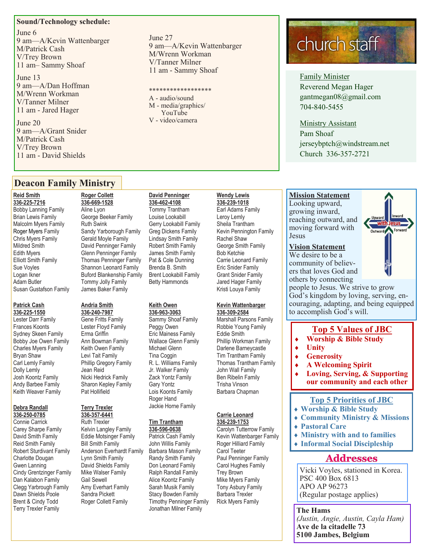#### **Sound/Technology schedule:**

June 6 9 am—A/Kevin Wattenbarger M/Patrick Cash V/Trey Brown 11 am– Sammy Shoaf

June 13 9 am—A/Dan Hoffman M/Wrenn Workman V/Tanner Milner 11 am - Jared Hager

June 20 9 am—A/Grant Snider M/Patrick Cash V/Trey Brown 11 am - David Shields

June 27 9 am—A/Kevin Wattenbarger M/Wrenn Workman V/Tanner Milner 11 am - Sammy Shoaf

#### \*\*\*\*\*\*\*\*\*\*\*\*\*\*\*\*\*\*

A - audio/sound M - media/graphics/ YouTube V - video/camera

### church staff

Family Minister Reverend Megan Hager gantmegan08@gmail.com 704-840-5455

#### Ministry Assistant

Pam Shoaf jerseybptch@windstream.net Church 336-357-2721

#### **Deacon Family Ministry**

#### **Reid Smith**

**336-225-7216** Bobby Lanning Family Brian Lewis Family Malcolm Myers Family Roger Myers Family Chris Myers Family Mildred Smith Edith Myers Elliott Smith Family Sue Voyles Logan Ikner Adam Butler Susan Gustafson Family

#### **Patrick Cash 336-225-1550**

Lester Darr Family Frances Koonts Sydney Skeen Family Bobby Joe Owen Family Charles Myers Family Bryan Shaw Carl Lemly Family Dolly Lemly Josh Koontz Family Andy Barbee Family Keith Weaver Family

#### **Debra Randall 336-250-0785**

Connie Carrick Carey Sharpe Family David Smith Family Reid Smith Family Robert Sturdivant Family Charlotte Dougan Gwen Lanning Cindy Grentzinger Family Dan Kalabon Family Clegg Yarbrough Family Dawn Shields Poole Brent & Cindy Todd Terry Trexler Family

#### **Roger Collett 336-669-1528** Aline Lyon George Beeker Family Ruth Swink Sandy Yarborough Family Gerald Moyle Family David Penninger Family Glenn Penninger Family Thomas Penninger Family Shannon Leonard Family Buford Blankenship Family Tommy Jolly Family

#### **Andria Smith**

James Baker Family

**336-240-7987** Gene Fritts Family Lester Floyd Family Erma Griffin Ann Bowman Family Keith Owen Family Levi Tait Family Phillip Gregory Family Jean Reid Nicki Hedrick Family Sharon Kepley Family Pat Hollifield

#### **Terry Trexler 336-357-6441**

Ruth Trexler Kelvin Langley Family Eddie Motsinger Family Bill Smith Family Anderson Everhardt Family Lynn Smith Family David Shields Family Mike Walser Family Gail Sewell Amy Everhart Family Sandra Pickett Roger Collett Family

#### **David Penninger**

**336-462-4108** Tommy Trantham Louise Lookabill Gerry Lookabill Family Greg Dickens Family Lindsay Smith Family Robert Smith Family James Smith Family Pat & Cole Dunning Brenda B. Smith Brent Lookabill Family Betty Hammonds

#### **Keith Owen**

**336-963-3063** Sammy Shoaf Family Peggy Owen Eric Mainess Family Wallace Glenn Family Michael Glenn Tina Coggin R. L. Williams Family Jr. Walker Family Zack Yontz Family Gary Yontz Lois Koonts Family Roger Hand Jackie Horne Family

#### **Tim Trantham 336-596-0638**

Patrick Cash Family John Willis Family Barbara Mason Family Randy Smith Family Don Leonard Family Ralph Randall Family Alice Koontz Family Sarah Musik Family Stacy Bowden Family Timothy Penninger Family Jonathan Milner Family

#### **Wendy Lewis 336-239-1018**

Earl Adams Family Leroy Lemly Sheila Trantham Kevin Pennington Family Rachel Shaw George Smith Family Bob Ketchie Carrie Leonard Family Eric Snider Family Grant Snider Family Jared Hager Family Kristi Louya Family

#### **Kevin Wattenbarger 336-309-2584**

Marshall Parsons Family Robbie Young Family Eddie Smith Phillip Workman Family Darlene Barneycastle Tim Trantham Family Thomas Trantham Family John Wall Family Ben Ribelin Family Trisha Vinson Barbara Chapman

#### **Carrie Leonard 336-239-1753**

Carolyn Tutterrow Family Kevin Wattenbarger Family Roger Hilliard Family Carol Teeter Paul Penninger Family Carol Hughes Family Trey Brown Mike Myers Family Tony Asbury Family Barbara Trexler Rick Myers Family

#### **Mission Statement**  Looking upward, growing inward, reaching outward, and moving forward with Jesus

#### **Vision Statement**

We desire to be a community of believers that loves God and others by connecting



people to Jesus. We strive to grow God's kingdom by loving, serving, encouraging, adapting, and being equipped to accomplish God's will.

#### **Top 5 Values of JBC**

- **Worship & Bible Study**
- **Unity**
- **Generosity**
- **A Welcoming Spirit**
- **Loving, Serving, & Supporting our community and each other**

#### **Top 5 Priorities of JBC**

- **Worship & Bible Study**
- **Community Ministry & Missions**
- **Pastoral Care**
- **Ministry with and to families**
- **Informal Social Discipleship**

#### **Addresses**

Vicki Voyles, stationed in Korea. PSC 400 Box 6813 APO AP 96273 (Regular postage applies)

**The Hams** *(Justin, Angie, Austin, Cayla Ham)* **Ave de la citadelle 73 5100 Jambes, Belgium**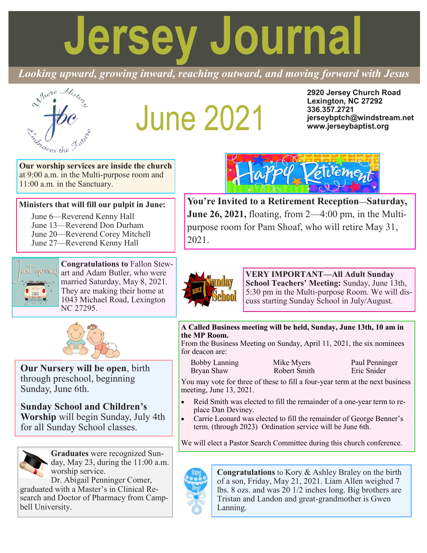# **Jersey Journal**

*Looking upward, growing inward, reaching outward, and moving forward with Jesus*



## **June 2021**

**2920 Jersey Church Road Lexington, NC 27292 336.357.2721 jerseybptch@windstream.net www.jerseybaptist.org**

**Our worship services are inside the church**  at 9:00 a.m. in the Multi-purpose room and 11:00 a.m. in the Sanctuary.

#### **Ministers that will fill our pulpit in June:**

June 6—Reverend Kenny Hall June 13—Reverend Don Durham June 20—Reverend Corey Mitchell June 27—Reverend Kenny Hall



**Congratulations to** Fallon Stewart and Adam Butler, who were married Saturday, May 8, 2021. They are making their home at 1043 Michael Road, Lexington NC 27295.



**Our Nursery will be open**, birth through preschool, beginning Sunday, June 6th.

**Sunday School and Children's Worship** will begin Sunday, July 4th for all Sunday School classes.



**Graduates** were recognized Sunday, May 23, during the 11:00 a.m. worship service.

Dr. Abigail Penninger Comer, graduated with a Master's in Clinical Research and Doctor of Pharmacy from Campbell University.



**Congratulations** to Kory & Ashley Braley on the birth of a son, Friday, May 21, 2021. Liam Allen weighed 7 lbs. 8 ozs. and was 20 1/2 inches long. Big brothers are Tristan and Landon and great-grandmother is Gwen Lanning.



**You're Invited to a Retirement Reception—Saturday, June 26, 2021,** floating, from 2—4:00 pm, in the Multipurpose room for Pam Shoaf, who will retire May 31, 2021.



**VERY IMPORTANT—All Adult Sunday School Teachers' Meeting:** Sunday, June 13th, 5:30 pm in the Multi-purpose Room. We will discuss starting Sunday School in July/August.

#### **A Called Business meeting will be held, Sunday, June 13th, 10 am in the MP Room.**

From the Business Meeting on Sunday, April 11, 2021, the six nominees for deacon are:

Bobby Lanning Mike Myers Paul Penninger<br>
Robert Smith Fric Snider Bryan Shaw Robert Smith Eric Snider

You may vote for three of these to fill a four-year term at the next business meeting, June 13, 2021.

- Reid Smith was elected to fill the remainder of a one-year term to replace Dan Deviney.
- Carrie Leonard was elected to fill the remainder of George Benner's term. (through 2023) Ordination service will be June 6th.

We will elect a Pastor Search Committee during this church conference.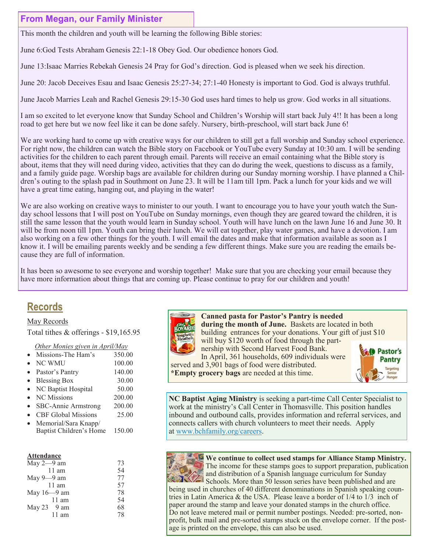#### **From Megan, our Family Minister**

This month the children and youth will be learning the following Bible stories:

June 6:God Tests Abraham Genesis 22:1-18 Obey God. Our obedience honors God.

June 13:Isaac Marries Rebekah Genesis 24 Pray for God's direction. God is pleased when we seek his direction.

June 20: Jacob Deceives Esau and Isaac Genesis 25:27-34; 27:1-40 Honesty is important to God. God is always truthful.

June Jacob Marries Leah and Rachel Genesis 29:15-30 God uses hard times to help us grow. God works in all situations.

I am so excited to let everyone know that Sunday School and Children's Worship will start back July 4!! It has been a long road to get here but we now feel like it can be done safely. Nursery, birth-preschool, will start back June 6!

We are working hard to come up with creative ways for our children to still get a full worship and Sunday school experience. For right now, the children can watch the Bible story on Facebook or YouTube every Sunday at 10:30 am. I will be sending activities for the children to each parent through email. Parents will receive an email containing what the Bible story is about, items that they will need during video, activities that they can do during the week, questions to discuss as a family, and a family guide page. Worship bags are available for children during our Sunday morning worship. I have planned a Children's outing to the splash pad in Southmont on June 23. It will be 11am till 1pm. Pack a lunch for your kids and we will have a great time eating, hanging out, and playing in the water!

We are also working on creative ways to minister to our youth. I want to encourage you to have your youth watch the Sunday school lessons that I will post on YouTube on Sunday mornings, even though they are geared toward the children, it is still the same lesson that the youth would learn in Sunday school. Youth will have lunch on the lawn June 16 and June 30. It will be from noon till 1pm. Youth can bring their lunch. We will eat together, play water games, and have a devotion. I am also working on a few other things for the youth. I will email the dates and make that information available as soon as I know it. I will be emailing parents weekly and be sending a few different things. Make sure you are reading the emails because they are full of information.

It has been so awesome to see everyone and worship together! Make sure that you are checking your email because they have more information about things that are coming up. Please continue to pray for our children and youth!

#### **Records**

#### May Records

Total tithes & offerings - \$19,165.95

#### *Other Monies given in April/May*

- NC WMU 100.00
- Pastor's Pantry 140.00
- Blessing Box 30.00
- NC Baptist Hospital 50.00 NC Missions 200.00
- SBC-Annie Armstrong 200.00
- CBF Global Missions 25.00
- Memorial/Sara Knapp/
- Baptist Children's Home 150.00

#### **Attendance**

| May $2-9$ am    | 73 |
|-----------------|----|
| $11$ am         | 54 |
| May $9 - 9$ am  | 77 |
| $11 \text{ am}$ | 57 |
| May $16 - 9$ am | 78 |
| $11 \text{ am}$ | 54 |
| May 23 9 am     | 68 |
| $11 \text{ am}$ | 78 |
|                 |    |



 **Canned pasta for Pastor's Pantry is needed during the month of June.** Baskets are located in both building entrances for your donations. Your gift of just \$10 will buy \$120 worth of food through the partnership with Second Harvest Food Bank.

 In April, 361 households, 609 individuals were served and 3,901 bags of food were distributed. **\*Empty grocery bags** are needed at this time.



**NC Baptist Aging Ministry** is seeking a part-time Call Center Specialist to work at the ministry's Call Center in Thomasville. This position handles inbound and outbound calls, provides information and referral services, and connects callers with church volunteers to meet their needs. Apply at [www.bchfamily.org/careers.](http://www.bchfamily.org/careers)



**We continue to collect used stamps for Alliance Stamp Ministry.**  The income for these stamps goes to support preparation, publication and distribution of a Spanish language curriculum for Sunday Schools. More than 50 lesson series have been published and are

being used in churches of 40 different denominations in Spanish speaking countries in Latin America & the USA. Please leave a border of 1/4 to 1/3 inch of paper around the stamp and leave your donated stamps in the church office. Do not leave metered mail or permit number postings. Needed: pre-sorted, nonprofit, bulk mail and pre-sorted stamps stuck on the envelope corner. If the postage is printed on the envelope, this can also be used.